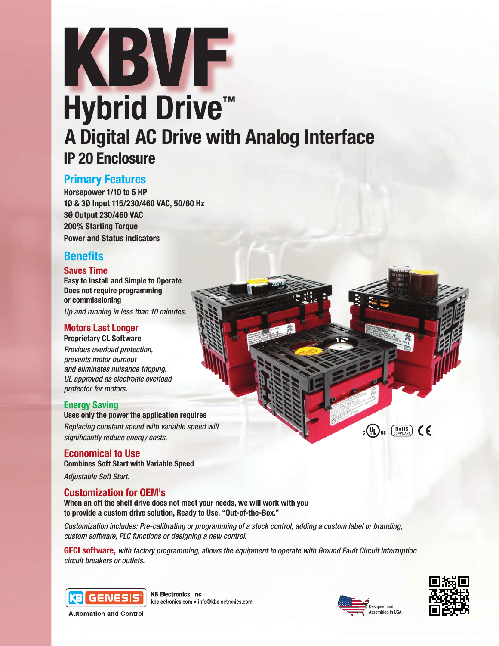# KBVF **A Digital AC Drive with Analog Interface IP 20 Enclosure Hybrid Drive™**

# **Primary Features**

**Horsepower 1/10 to 5 HP 1Ø & 3Ø Input 115/230/460 VAC, 50/60 Hz 3Ø Output 230/460 VAC 200% Starting Torque Power and Status Indicators**

# **Benefits**

## **Saves Time**

**Easy to Install and Simple to Operate Does not require programming or commissioning** *Up and running in less than 10 minutes.*

#### **Motors Last Longer Proprietary CL Software**

*Provides overload protection, prevents motor burnout and eliminates nuisance tripping. UL approved as electronic overload protector for motors.* 

## **Energy Saving**

**Uses only the power the application requires** *Replacing constant speed with variable speed will significantly reduce energy costs.*

**Economical to Use Combines Soft Start with Variable Speed** *Adjustable Soft Start.*

## **Customization for OEM's**

**When an off the shelf drive does not meet your needs, we will work with you to provide a custom drive solution, Ready to Use, "Out-of-the-Box."**

*Customization includes: Pre-calibrating or programming of a stock control, adding a custom label or branding, custom software, PLC functions or designing a new control.*

**GFCI software,** *with factory programming, allows the equipment to operate with Ground Fault Circuit Interruption circuit breakers or outlets.*



**KB Electronics, Inc.** kbelectronics.com · info@kbelectronics.com



 $\mathbb{C}(\mathbb{U})$ us  $\left(\underset{\text{COMPLAMT}}{\text{ROHS}}\right)$   $\mathbb{C}$ 

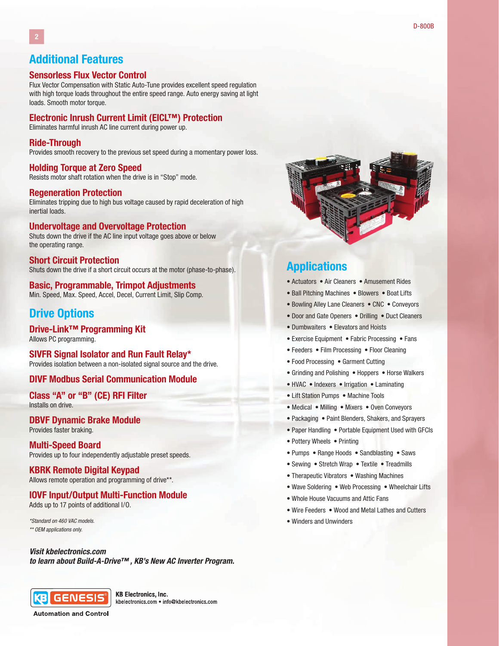## **Additional Features**

#### **Sensorless Flux Vector Control**

Flux Vector Compensation with Static Auto-Tune provides excellent speed regulation with high torque loads throughout the entire speed range. Auto energy saving at light loads. Smooth motor torque.

#### **Electronic Inrush Current Limit (EICL™) Protection**

Eliminates harmful inrush AC line current during power up.

#### **Ride-Through**

Provides smooth recovery to the previous set speed during a momentary power loss.

#### **Holding Torque at Zero Speed**

Resists motor shaft rotation when the drive is in "Stop" mode.

#### **Regeneration Protection**

Eliminates tripping due to high bus voltage caused by rapid deceleration of high inertial loads.

#### **Undervoltage and Overvoltage Protection**

Shuts down the drive if the AC line input voltage goes above or below the operating range.

#### **Short Circuit Protection** Shuts down the drive if a short circuit occurs at the motor (phase-to-phase).

# **Basic, Programmable, Trimpot Adjustments**

Min. Speed, Max. Speed, Accel, Decel, Current Limit, Slip Comp.

# **Drive Options**

**Drive-Link™ Programming Kit** Allows PC programming.

**SIVFR Signal Isolator and Run Fault Relay\*** Provides isolation between a non-isolated signal source and the drive.

#### **DIVF Modbus Serial Communication Module**

**Class "A" or "B" (CE) RFI Filter** Installs on drive.

#### **DBVF Dynamic Brake Module** Provides faster braking.

#### **Multi-Speed Board** Provides up to four independently adjustable preset speeds.

**KBRK Remote Digital Keypad**

Allows remote operation and programming of drive\*\*.

## **IOVF Input/Output Multi-Function Module**

Adds up to 17 points of additional I/O.

*\*Standard on 460 VAC models. \*\* OEM applications only.*

#### *Visit kbelectronics.com*

*to learn about Build-A-Drive™ , KB's New AC Inverter Program.*



**KB Electronics, Inc.** kbelectronics.com . info@kbelectronics.com

**Automation and Control** 



## **Applications**

- Actuators Air Cleaners Amusement Rides
- Ball Pitching Machines Blowers Boat Lifts
- Bowling Alley Lane Cleaners CNC Conveyors
- Door and Gate Openers Drilling Duct Cleaners
- Dumbwaiters Elevators and Hoists
- Exercise Equipment Fabric Processing Fans
- Feeders Film Processing Floor Cleaning
- Food Processing Garment Cutting
- Grinding and Polishing Hoppers Horse Walkers
- HVAC Indexers Irrigation Laminating
- Lift Station Pumps Machine Tools
- Medical Milling Mixers Oven Conveyors
- Packaging Paint Blenders, Shakers, and Sprayers
- Paper Handling Portable Equipment Used with GFCIs
- Pottery Wheels Printing
- Pumps Range Hoods Sandblasting Saws
- Sewing Stretch Wrap Textile Treadmills
- Therapeutic Vibrators Washing Machines
- Wave Soldering Web Processing Wheelchair Lifts
- Whole House Vacuums and Attic Fans
- Wire Feeders Wood and Metal Lathes and Cutters
- Winders and Unwinders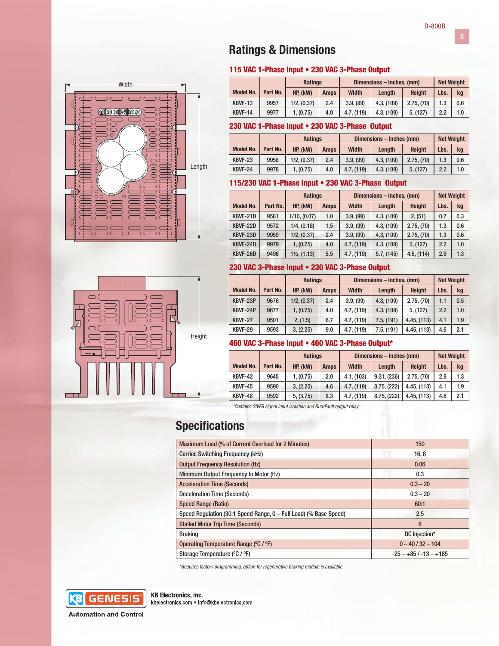# **Ratings & Dimensions**

#### 115 VAC 1-Phase Input • 230 VAC 3-Phase Output

|                  |          | <b>Ratings</b> |             | Dimensions - Inches. (mm) |            |               | <b>Net Weight</b> |     |
|------------------|----------|----------------|-------------|---------------------------|------------|---------------|-------------------|-----|
| <b>Model No.</b> | Part No. | HP, (kW)       | <b>Amps</b> | <b>Width</b>              | Lenath     | <b>Height</b> | Lbs.              | kg  |
| KBVF-13          | 9957     | 1/2, (0.37)    | 2.4         | 3.9. (99)                 | 4.3, (109) | 2.75, (70)    | 1.3               | 0.6 |
| KBVF-14          | 9977     | 1, (0.75)      | 4.0         | 4.7, (119)                | 4.3, (109) | 5, (127)      | 2.2               | 1.0 |

#### 230 VAC 1-Phase Input • 230 VAC 3-Phase Output

|                  |          | <b>Ratings</b> |             | Dimensions - Inches (mm) |            |               | <b>Net Weight</b> |     |
|------------------|----------|----------------|-------------|--------------------------|------------|---------------|-------------------|-----|
| <b>Model No.</b> | Part No. | HP, (kW)       | <b>Amps</b> | <b>Width</b>             | Lenath     | <b>Height</b> | Lbs.              | kg  |
| KBVF-23          | 9958     | 1/2, (0.37)    | 2.4         | 3.9. (99)                | 4.3. (109) | 2.75, (70)    | 1.3               | 0.6 |
| KBVF-24          | 9978     | 1, (0.75)      | 4.0         | 4.7. (119)               | 4.3, (109) | 5, (127)      | 2.2               | 1.0 |

#### 115/230 VAC 1-Phase Input • 230 VAC 3-Phase Output

|                  |          | <b>Ratings</b>          |             | Dimensions - Inches, (mm) | <b>Net Weight</b> |               |      |     |
|------------------|----------|-------------------------|-------------|---------------------------|-------------------|---------------|------|-----|
| <b>Model No.</b> | Part No. | HP, (kW)                | <b>Amps</b> | <b>Width</b>              | Lenath            | <b>Height</b> | Lbs. | kg  |
| KBVF-21D         | 9581     | 1/10, (0.07)            | 1.0         | 3.9, (99)                 | 4.3, (109)        | 2, (51)       | 0.7  | 0.3 |
| KBVF-22D         | 9572     | 1/4, (0.18)             | 1.5         | 3.9, (99)                 | 4.3, (109)        | 2.75, (70)    | 1.3  | 0.6 |
| KBVF-23D         | 9959     | 1/2, (0.37)             | 2.4         | 3.9, (99)                 | 4.3, (109)        | 2.75, (70)    | 1.3  | 0.6 |
| KBVF-24D         | 9979     | 1, (0.75)               | 4.0         | 4.7, (119)                | 4.3, (109)        | 5, (127)      | 2.2  | 1.0 |
| KBVF-26D         | 9496     | $1\frac{1}{2}$ , (1.13) | 5.5         | 4.7, (119)                | 5.7, (145)        | 4.5, (114)    | 2.9  | 1.3 |

## 230 VAC 3-Phase Input • 230 VAC 3-Phase Output

|                  |          | <b>Ratings</b> |             | Dimensions - Inches, (mm) |            |               | <b>Net Weight</b> |     |
|------------------|----------|----------------|-------------|---------------------------|------------|---------------|-------------------|-----|
| <b>Model No.</b> | Part No. | HP, (kW)       | <b>Amps</b> | <b>Width</b>              | Length     | <b>Height</b> | Lbs.              | kg  |
| KBVF-23P         | 9676     | 1/2, (0.37)    | 2.4         | 3.9, (99)                 | 4.3, (109) | 2.75, (70)    | 1.1               | 0.5 |
| KBVF-24P         | 9677     | 1, (0.75)      | 4.0         | 4.7, (119)                | 4.3, (109) | 5, (127)      | 2.2               | 1.0 |
| <b>KBVF-27</b>   | 9591     | 2, (1.5)       | 6.7         | 4.7, (119)                | 7.5, (191) | 4.45, (113)   | 4.1               | 1.9 |
| KBVF-29          | 9593     | 3, (2.25)      | 9.0         | 4.7, (119)                | 7.5, (191) | 4.45, (113)   | 4.6               | 2.1 |

#### 460 VAC 3-Phase Input • 460 VAC 3-Phase Output\*

|                                                                    |          | <b>Ratings</b> |             | Dimensions - Inches (mm) | <b>Net Weight</b> |               |      |     |
|--------------------------------------------------------------------|----------|----------------|-------------|--------------------------|-------------------|---------------|------|-----|
| <b>Model No.</b>                                                   | Part No. | HP, (kW)       | <b>Amps</b> | <b>Width</b>             | Lenath            | <b>Height</b> | Lbs. | kg  |
| KBVF-42                                                            | 9645     | 1, (0.75)      | 2.0         | 4.1, (103)               | 9.31, (236)       | 2.75, (70)    | 2.8  | 1.3 |
| KBVF-45                                                            | 9590     | 3, (2.25)      | 4.6         | 4.7, (119)               | 8.75, (222)       | 4.45, (113)   | 4.1  | 1.9 |
| KBVF-48                                                            | 9592     | 5, (3.75)      | 8.3         | 4.7, (119)               | 8.75, (222)       | 4.45, (113)   | 4.6  | 2.1 |
| *Containe CIUED gianal input jogletien and Dun (Foult output relay |          |                |             |                          |                   |               |      |     |

*\*Contains SIVFR signal input isolation and Run/Fault output relay.*

# **Specifications**

Height

Length

**Width** 

 $\circledcirc$   $\circledcirc$   $\circledcirc$ 

 $\circ$ 

 $\overline{C}$ 

| Maximum Load (% of Current Overload for 2 Minutes)                | 150                     |  |  |
|-------------------------------------------------------------------|-------------------------|--|--|
| Carrier, Switching Frequency (kHz)                                | 16, 8                   |  |  |
| <b>Output Frequency Resolution (Hz)</b>                           | 0.06                    |  |  |
| Minimum Output Frequency to Motor (Hz)                            | 0.3                     |  |  |
| <b>Acceleration Time (Seconds)</b>                                | $0.3 - 20$              |  |  |
| <b>Deceleration Time (Seconds)</b>                                | $0.3 - 20$              |  |  |
| <b>Speed Range (Ratio)</b>                                        | 60:1                    |  |  |
| Speed Regulation (30:1 Speed Range, 0 – Full Load) (% Base Speed) | 2.5                     |  |  |
| <b>Stalled Motor Trip Time (Seconds)</b>                          | $6\phantom{1}$          |  |  |
| <b>Braking</b>                                                    | DC Injection*           |  |  |
| Operating Temperature Range (°C / °F)                             | $0 - 40 / 32 - 104$     |  |  |
| Storage Temperature (°C / °F)                                     | $-25 - +85/ -13 - +185$ |  |  |

*\*Requires factory programming, option for regenerative braking module is available.*



**KB Electronics, Inc.** kbelectronics.com · info@kbelectronics.com

**Automation and Control** 

**3**